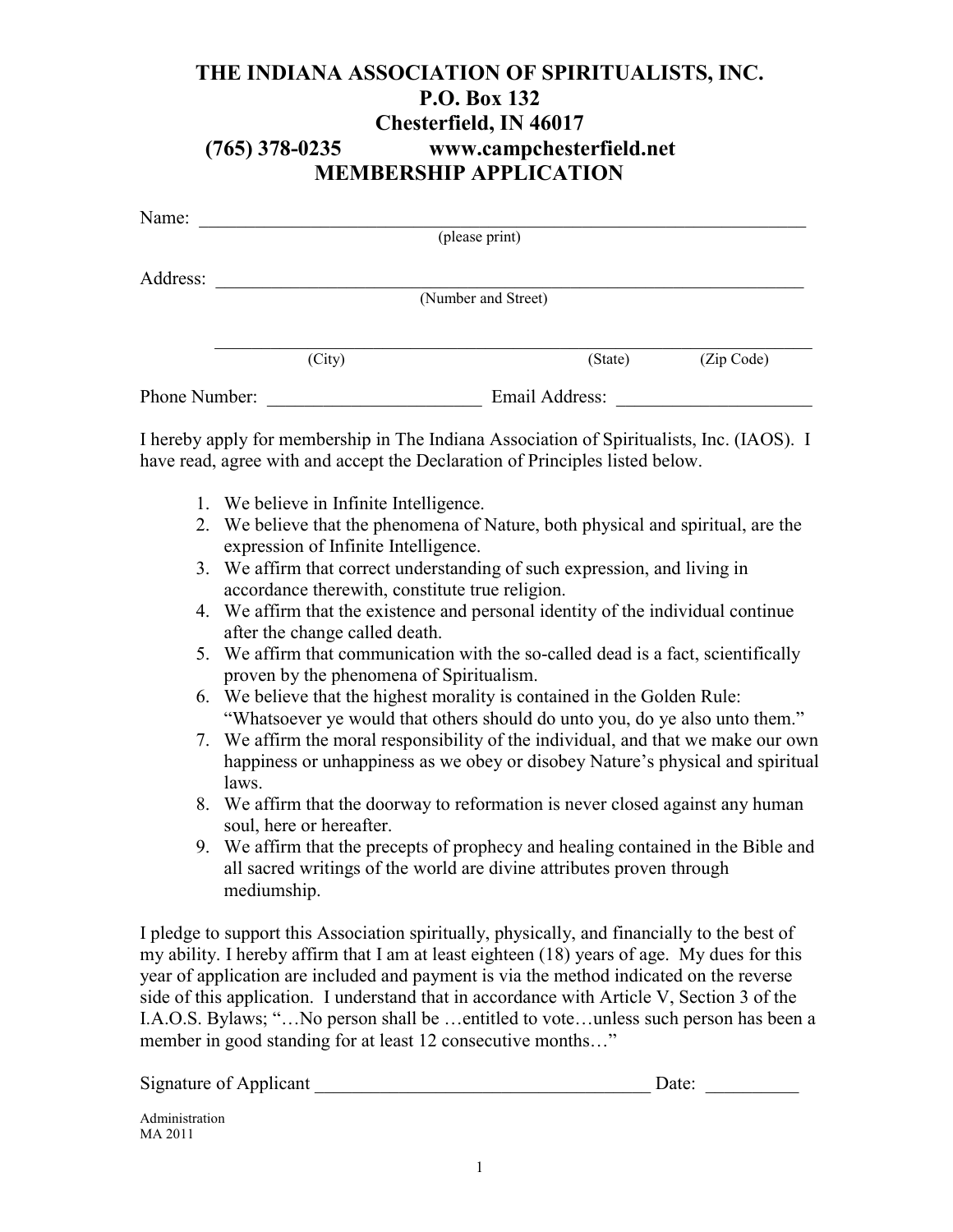## **THE INDIANA ASSOCIATION OF SPIRITUALISTS, INC. P.O. Box 132 Chesterfield, IN 46017 (765) 378-0235 www.campchesterfield.net MEMBERSHIP APPLICATION**

| Name:         |        |                     |         |            |  |
|---------------|--------|---------------------|---------|------------|--|
|               |        | (please print)      |         |            |  |
|               |        |                     |         |            |  |
| Address:      |        |                     |         |            |  |
|               |        | (Number and Street) |         |            |  |
|               |        |                     |         |            |  |
|               |        |                     |         |            |  |
|               | (City) |                     | (State) | (Zip Code) |  |
| Phone Number: |        | Email Address:      |         |            |  |

I hereby apply for membership in The Indiana Association of Spiritualists, Inc. (IAOS). I have read, agree with and accept the Declaration of Principles listed below.

- 1. We believe in Infinite Intelligence.
- 2. We believe that the phenomena of Nature, both physical and spiritual, are the expression of Infinite Intelligence.
- 3. We affirm that correct understanding of such expression, and living in accordance therewith, constitute true religion.
- 4. We affirm that the existence and personal identity of the individual continue after the change called death.
- 5. We affirm that communication with the so-called dead is a fact, scientifically proven by the phenomena of Spiritualism.
- 6. We believe that the highest morality is contained in the Golden Rule: "Whatsoever ye would that others should do unto you, do ye also unto them."
- 7. We affirm the moral responsibility of the individual, and that we make our own happiness or unhappiness as we obey or disobey Nature's physical and spiritual laws.
- 8. We affirm that the doorway to reformation is never closed against any human soul, here or hereafter.
- 9. We affirm that the precepts of prophecy and healing contained in the Bible and all sacred writings of the world are divine attributes proven through mediumship.

I pledge to support this Association spiritually, physically, and financially to the best of my ability. I hereby affirm that I am at least eighteen (18) years of age. My dues for this year of application are included and payment is via the method indicated on the reverse side of this application. I understand that in accordance with Article V, Section 3 of the I.A.O.S. Bylaws; "…No person shall be …entitled to vote…unless such person has been a member in good standing for at least 12 consecutive months..."

Signature of Applicant \_\_\_\_\_\_\_\_\_\_\_\_\_\_\_\_\_\_\_\_\_\_\_\_\_\_\_\_\_\_\_\_\_\_\_\_ Date: \_\_\_\_\_\_\_\_\_\_

Administration MA 2011